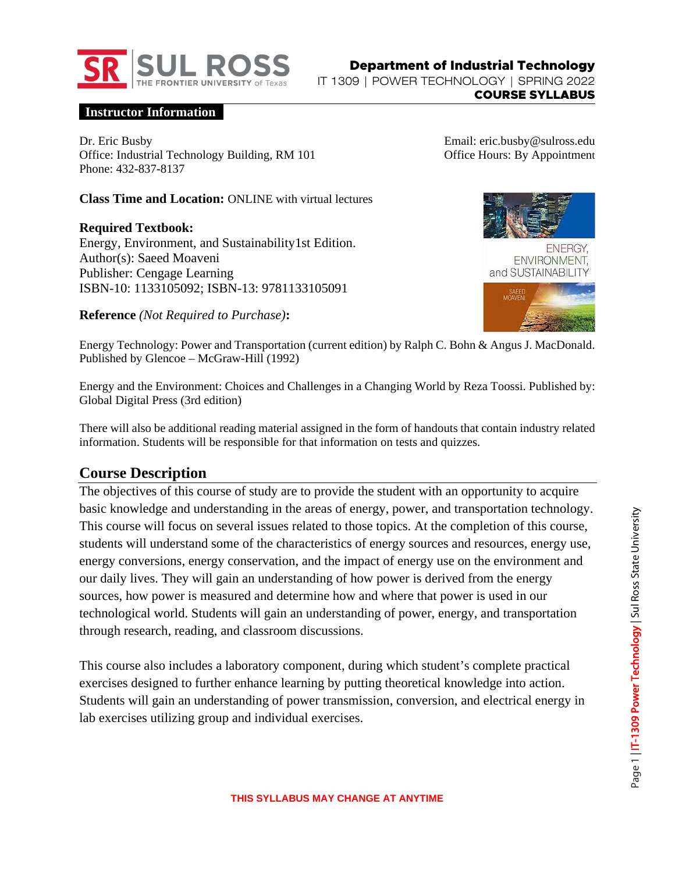

#### **Instructor Information**

Dr. Eric Busby Office: Industrial Technology Building, RM 101 Phone: 432-837-8137

**Class Time and Location:** ONLINE with virtual lectures

**Required Textbook:** Energy, Environment, and Sustainability1st Edition. Author(s): Saeed Moaveni Publisher: Cengage Learning ISBN-10: 1133105092; ISBN-13: 9781133105091

**Reference** *(Not Required to Purchase)***:**

Email: eric.busby@sulross.edu Office Hours: By Appointment



Energy Technology: Power and Transportation (current edition) by Ralph C. Bohn & Angus J. MacDonald. Published by Glencoe – McGraw-Hill (1992)

Energy and the Environment: Choices and Challenges in a Changing World by Reza Toossi. Published by: Global Digital Press (3rd edition)

There will also be additional reading material assigned in the form of handouts that contain industry related information. Students will be responsible for that information on tests and quizzes.

#### **Course Description**

The objectives of this course of study are to provide the student with an opportunity to acquire basic knowledge and understanding in the areas of energy, power, and transportation technology. This course will focus on several issues related to those topics. At the completion of this course, students will understand some of the characteristics of energy sources and resources, energy use, energy conversions, energy conservation, and the impact of energy use on the environment and our daily lives. They will gain an understanding of how power is derived from the energy sources, how power is measured and determine how and where that power is used in our technological world. Students will gain an understanding of power, energy, and transportation through research, reading, and classroom discussions.

This course also includes a laboratory component, during which student's complete practical exercises designed to further enhance learning by putting theoretical knowledge into action. Students will gain an understanding of power transmission, conversion, and electrical energy in lab exercises utilizing group and individual exercises.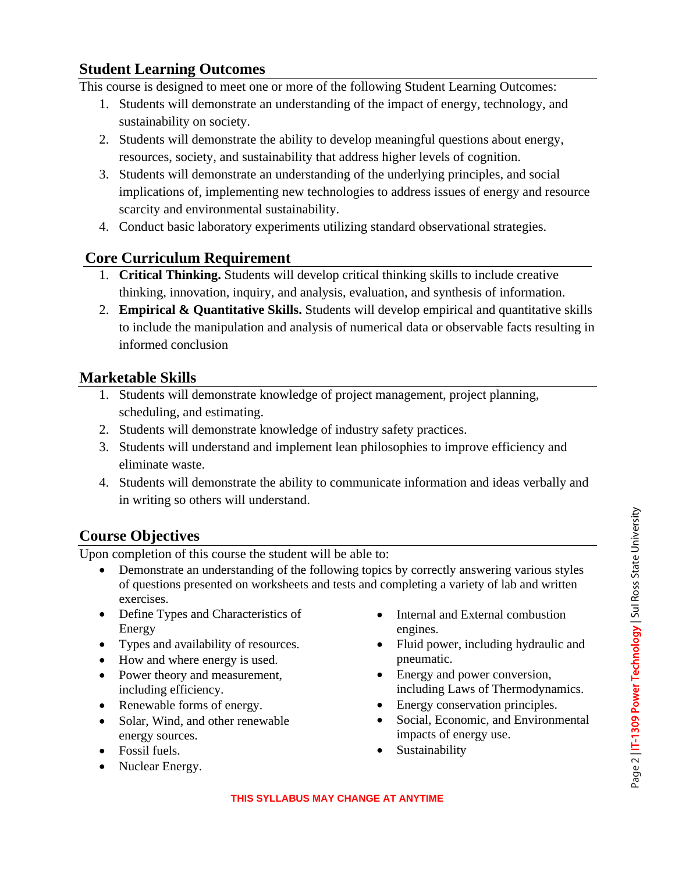## **Student Learning Outcomes**

This course is designed to meet one or more of the following Student Learning Outcomes:

- 1. Students will demonstrate an understanding of the impact of energy, technology, and sustainability on society.
- 2. Students will demonstrate the ability to develop meaningful questions about energy, resources, society, and sustainability that address higher levels of cognition.
- 3. Students will demonstrate an understanding of the underlying principles, and social implications of, implementing new technologies to address issues of energy and resource scarcity and environmental sustainability.
- 4. Conduct basic laboratory experiments utilizing standard observational strategies.

# **Core Curriculum Requirement**

- 1. **Critical Thinking.** Students will develop critical thinking skills to include creative thinking, innovation, inquiry, and analysis, evaluation, and synthesis of information.
- 2. **Empirical & Quantitative Skills.** Students will develop empirical and quantitative skills to include the manipulation and analysis of numerical data or observable facts resulting in informed conclusion

# **Marketable Skills**

- 1. Students will demonstrate knowledge of project management, project planning, scheduling, and estimating.
- 2. Students will demonstrate knowledge of industry safety practices.
- 3. Students will understand and implement lean philosophies to improve efficiency and eliminate waste.
- 4. Students will demonstrate the ability to communicate information and ideas verbally and in writing so others will understand.

# **Course Objectives**

Upon completion of this course the student will be able to:

- Demonstrate an understanding of the following topics by correctly answering various styles of questions presented on worksheets and tests and completing a variety of lab and written exercises.
- Define Types and Characteristics of Energy
- Types and availability of resources.
- How and where energy is used.
- Power theory and measurement, including efficiency.
- Renewable forms of energy.
- Solar, Wind, and other renewable energy sources.
- Fossil fuels.
- Nuclear Energy.
- Internal and External combustion engines.
- Fluid power, including hydraulic and pneumatic.
- Energy and power conversion, including Laws of Thermodynamics.
- Energy conservation principles.
- Social, Economic, and Environmental impacts of energy use.
- Sustainability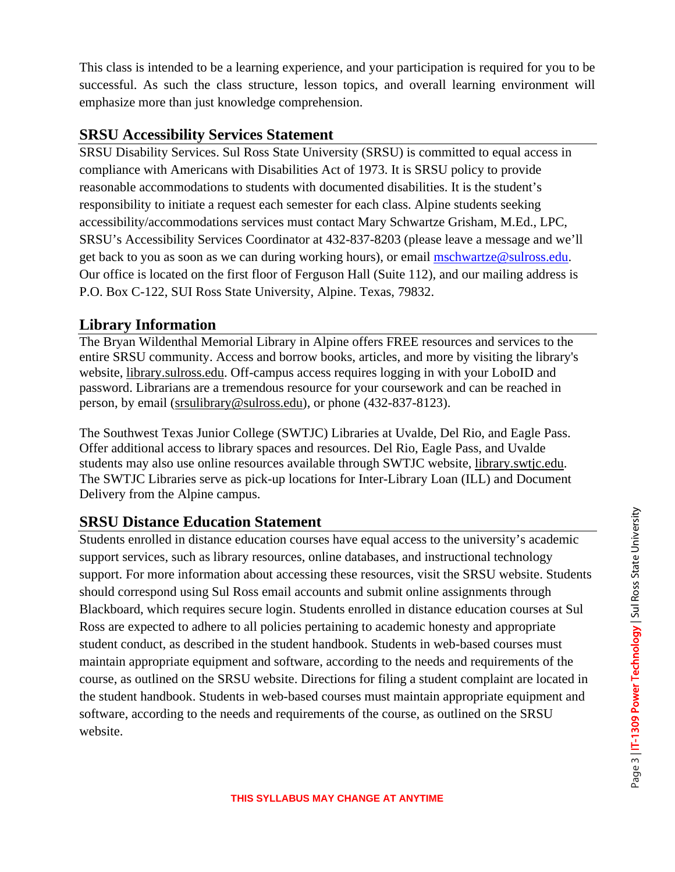This class is intended to be a learning experience, and your participation is required for you to be successful. As such the class structure, lesson topics, and overall learning environment will emphasize more than just knowledge comprehension.

### **SRSU Accessibility Services Statement**

SRSU Disability Services. Sul Ross State University (SRSU) is committed to equal access in compliance with Americans with Disabilities Act of 1973. It is SRSU policy to provide reasonable accommodations to students with documented disabilities. It is the student's responsibility to initiate a request each semester for each class. Alpine students seeking accessibility/accommodations services must contact Mary Schwartze Grisham, M.Ed., LPC, SRSU's Accessibility Services Coordinator at 432-837-8203 (please leave a message and we'll get back to you as soon as we can during working hours), or email [mschwartze@sulross.edu.](mailto:mschwartze@sulross.edu) Our office is located on the first floor of Ferguson Hall (Suite 112), and our mailing address is P.O. Box C-122, SUI Ross State University, Alpine. Texas, 79832.

### **Library Information**

The Bryan Wildenthal Memorial Library in Alpine offers FREE resources and services to the entire SRSU community. Access and borrow books, articles, and more by visiting the library's website, library.sulross.edu. Off-campus access requires logging in with your LoboID and password. Librarians are a tremendous resource for your coursework and can be reached in person, by email (srsulibrary@sulross.edu), or phone (432-837-8123).

The Southwest Texas Junior College (SWTJC) Libraries at Uvalde, Del Rio, and Eagle Pass. Offer additional access to library spaces and resources. Del Rio, Eagle Pass, and Uvalde students may also use online resources available through SWTJC website, library.swtjc.edu. The SWTJC Libraries serve as pick-up locations for Inter-Library Loan (ILL) and Document Delivery from the Alpine campus.

## **SRSU Distance Education Statement**

Students enrolled in distance education courses have equal access to the university's academic support services, such as library resources, online databases, and instructional technology support. For more information about accessing these resources, visit the SRSU website. Students should correspond using Sul Ross email accounts and submit online assignments through Blackboard, which requires secure login. Students enrolled in distance education courses at Sul Ross are expected to adhere to all policies pertaining to academic honesty and appropriate student conduct, as described in the student handbook. Students in web-based courses must maintain appropriate equipment and software, according to the needs and requirements of the course, as outlined on the SRSU website. Directions for filing a student complaint are located in the student handbook. Students in web-based courses must maintain appropriate equipment and software, according to the needs and requirements of the course, as outlined on the SRSU website.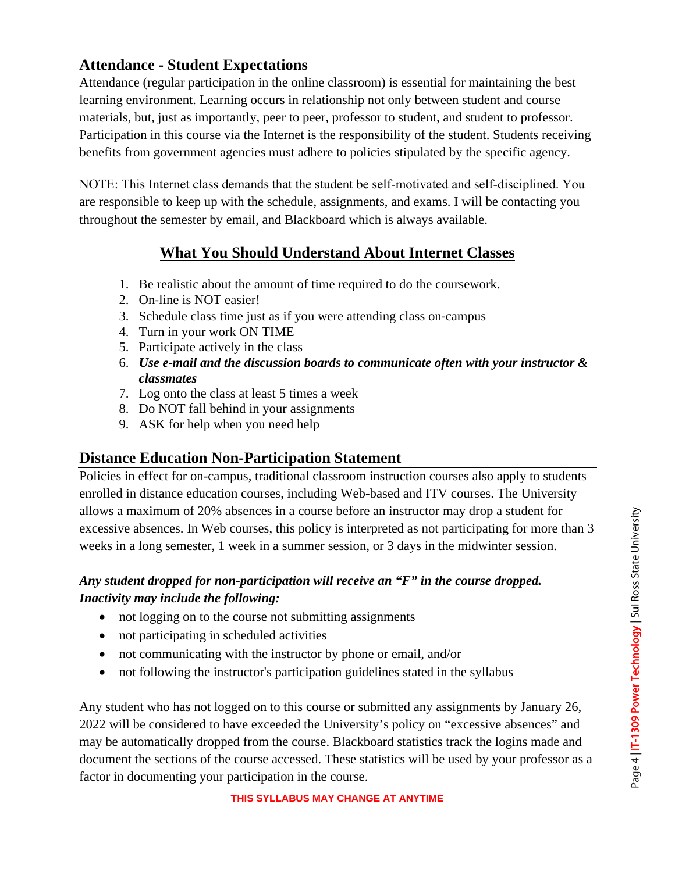# **Attendance - Student Expectations**

Attendance (regular participation in the online classroom) is essential for maintaining the best learning environment. Learning occurs in relationship not only between student and course materials, but, just as importantly, peer to peer, professor to student, and student to professor. Participation in this course via the Internet is the responsibility of the student. Students receiving benefits from government agencies must adhere to policies stipulated by the specific agency.

NOTE: This Internet class demands that the student be self-motivated and self-disciplined. You are responsible to keep up with the schedule, assignments, and exams. I will be contacting you throughout the semester by email, and Blackboard which is always available.

# **What You Should Understand About Internet Classes**

- 1. Be realistic about the amount of time required to do the coursework.
- 2. On‐line is NOT easier!
- 3. Schedule class time just as if you were attending class on‐campus
- 4. Turn in your work ON TIME
- 5. Participate actively in the class
- 6. *Use e‐mail and the discussion boards to communicate often with your instructor & classmates*
- 7. Log onto the class at least 5 times a week
- 8. Do NOT fall behind in your assignments
- 9. ASK for help when you need help

## **Distance Education Non-Participation Statement**

Policies in effect for on-campus, traditional classroom instruction courses also apply to students enrolled in distance education courses, including Web-based and ITV courses. The University allows a maximum of 20% absences in a course before an instructor may drop a student for excessive absences. In Web courses, this policy is interpreted as not participating for more than 3 weeks in a long semester, 1 week in a summer session, or 3 days in the midwinter session.

### *Any student dropped for non-participation will receive an "F" in the course dropped. Inactivity may include the following:*

- not logging on to the course not submitting assignments
- not participating in scheduled activities
- not communicating with the instructor by phone or email, and/or
- not following the instructor's participation guidelines stated in the syllabus

Any student who has not logged on to this course or submitted any assignments by January 26, 2022 will be considered to have exceeded the University's policy on "excessive absences" and may be automatically dropped from the course. Blackboard statistics track the logins made and document the sections of the course accessed. These statistics will be used by your professor as a factor in documenting your participation in the course.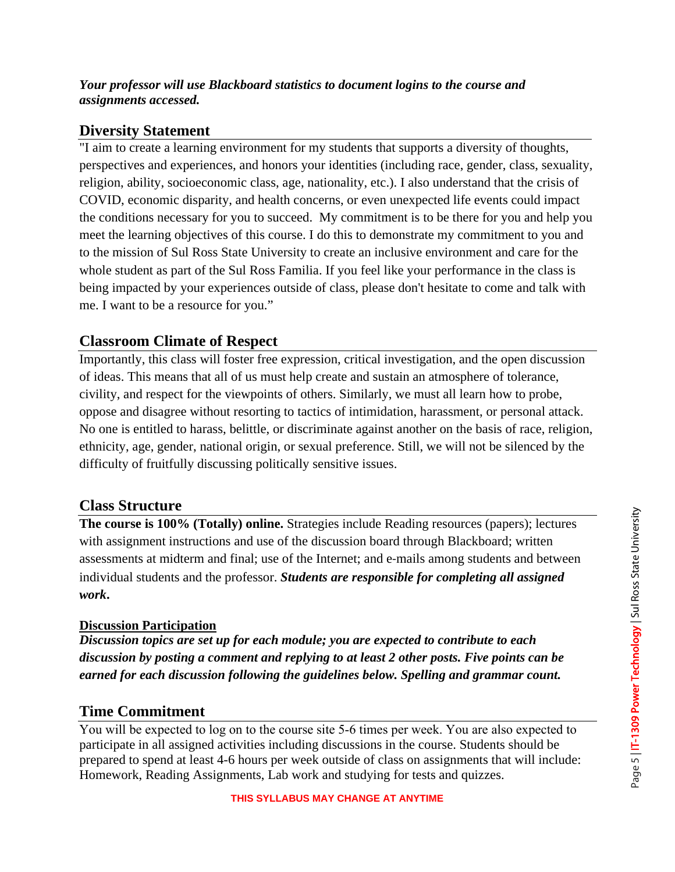#### *Your professor will use Blackboard statistics to document logins to the course and assignments accessed.*

### **Diversity Statement**

"I aim to create a learning environment for my students that supports a diversity of thoughts, perspectives and experiences, and honors your identities (including race, gender, class, sexuality, religion, ability, socioeconomic class, age, nationality, etc.). I also understand that the crisis of COVID, economic disparity, and health concerns, or even unexpected life events could impact the conditions necessary for you to succeed. My commitment is to be there for you and help you meet the learning objectives of this course. I do this to demonstrate my commitment to you and to the mission of Sul Ross State University to create an inclusive environment and care for the whole student as part of the Sul Ross Familia. If you feel like your performance in the class is being impacted by your experiences outside of class, please don't hesitate to come and talk with me. I want to be a resource for you."

## **Classroom Climate of Respect**

Importantly, this class will foster free expression, critical investigation, and the open discussion of ideas. This means that all of us must help create and sustain an atmosphere of tolerance, civility, and respect for the viewpoints of others. Similarly, we must all learn how to probe, oppose and disagree without resorting to tactics of intimidation, harassment, or personal attack. No one is entitled to harass, belittle, or discriminate against another on the basis of race, religion, ethnicity, age, gender, national origin, or sexual preference. Still, we will not be silenced by the difficulty of fruitfully discussing politically sensitive issues.

### **Class Structure**

**The course is 100% (Totally) online.** Strategies include Reading resources (papers); lectures with assignment instructions and use of the discussion board through Blackboard; written assessments at midterm and final; use of the Internet; and e‐mails among students and between individual students and the professor. *Students are responsible for completing all assigned work***.**

#### **Discussion Participation**

*Discussion topics are set up for each module; you are expected to contribute to each discussion by posting a comment and replying to at least 2 other posts. Five points can be earned for each discussion following the guidelines below. Spelling and grammar count.*

### **Time Commitment**

You will be expected to log on to the course site 5‐6 times per week. You are also expected to participate in all assigned activities including discussions in the course. Students should be prepared to spend at least 4-6 hours per week outside of class on assignments that will include: Homework, Reading Assignments, Lab work and studying for tests and quizzes.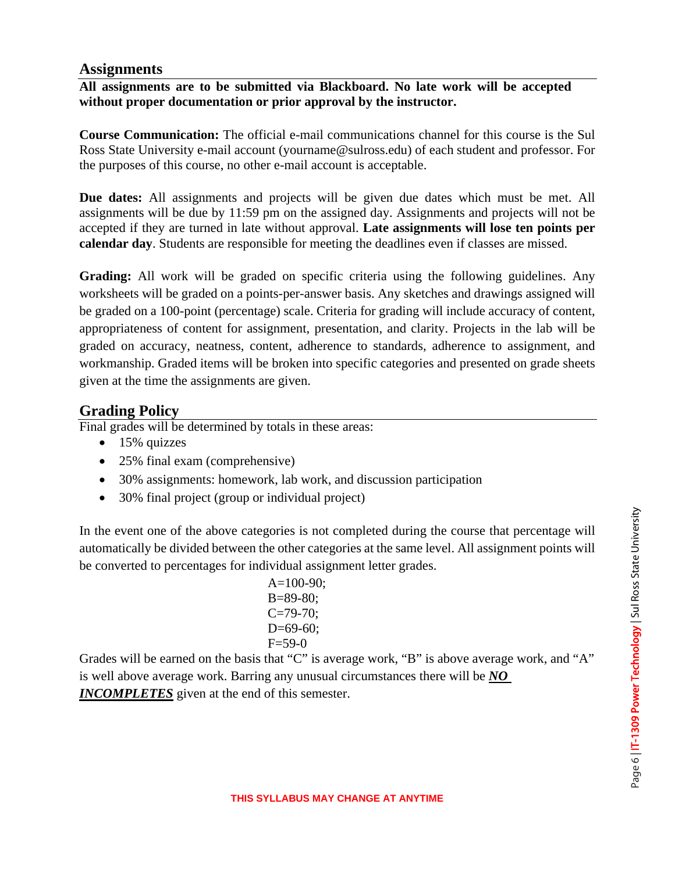### **Assignments**

### **All assignments are to be submitted via Blackboard. No late work will be accepted without proper documentation or prior approval by the instructor.**

**Course Communication:** The official e-mail communications channel for this course is the Sul Ross State University e-mail account (yourname@sulross.edu) of each student and professor. For the purposes of this course, no other e-mail account is acceptable.

**Due dates:** All assignments and projects will be given due dates which must be met. All assignments will be due by 11:59 pm on the assigned day. Assignments and projects will not be accepted if they are turned in late without approval. **Late assignments will lose ten points per calendar day**. Students are responsible for meeting the deadlines even if classes are missed.

**Grading:** All work will be graded on specific criteria using the following guidelines. Any worksheets will be graded on a points-per-answer basis. Any sketches and drawings assigned will be graded on a 100-point (percentage) scale. Criteria for grading will include accuracy of content, appropriateness of content for assignment, presentation, and clarity. Projects in the lab will be graded on accuracy, neatness, content, adherence to standards, adherence to assignment, and workmanship. Graded items will be broken into specific categories and presented on grade sheets given at the time the assignments are given.

## **Grading Policy**

Final grades will be determined by totals in these areas:

- $\bullet$  15% quizzes
- 25% final exam (comprehensive)
- 30% assignments: homework, lab work, and discussion participation
- 30% final project (group or individual project)

In the event one of the above categories is not completed during the course that percentage will automatically be divided between the other categories at the same level. All assignment points will be converted to percentages for individual assignment letter grades.

> $A=100-90$ ; B=89-80;  $C = 79 - 70$ ;  $D=69-60$ ;  $F = 59-0$

Grades will be earned on the basis that "C" is average work, "B" is above average work, and "A" is well above average work. Barring any unusual circumstances there will be *NO INCOMPLETES* given at the end of this semester.